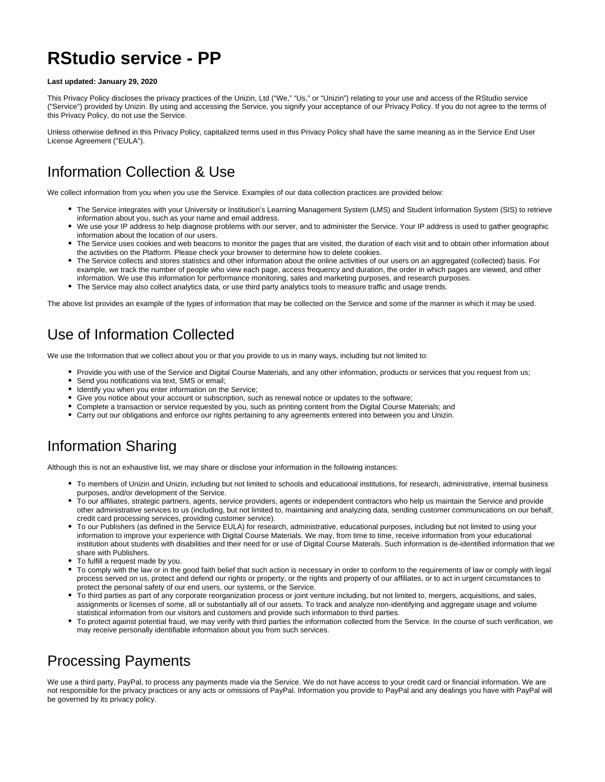# **RStudio service - PP**

#### **Last updated: January 29, 2020**

This Privacy Policy discloses the privacy practices of the Unizin, Ltd ("We," "Us," or "Unizin") relating to your use and access of the RStudio service ("Service") provided by Unizin. By using and accessing the Service, you signify your acceptance of our Privacy Policy. If you do not agree to the terms of this Privacy Policy, do not use the Service.

Unless otherwise defined in this Privacy Policy, capitalized terms used in this Privacy Policy shall have the same meaning as in the Service End User License Agreement ("EULA").

#### Information Collection & Use

We collect information from you when you use the Service. Examples of our data collection practices are provided below:

- The Service integrates with your University or Institution's Learning Management System (LMS) and Student Information System (SIS) to retrieve information about you, such as your name and email address.
- We use your IP address to help diagnose problems with our server, and to administer the Service. Your IP address is used to gather geographic information about the location of our users.
- The Service uses cookies and web beacons to monitor the pages that are visited, the duration of each visit and to obtain other information about the activities on the Platform. Please check your browser to determine how to delete cookies.
- The Service collects and stores statistics and other information about the online activities of our users on an aggregated (collected) basis. For example, we track the number of people who view each page, access frequency and duration, the order in which pages are viewed, and other information. We use this information for performance monitoring, sales and marketing purposes, and research purposes.
- The Service may also collect analytics data, or use third party analytics tools to measure traffic and usage trends.

The above list provides an example of the types of information that may be collected on the Service and some of the manner in which it may be used.

#### Use of Information Collected

We use the Information that we collect about you or that you provide to us in many ways, including but not limited to:

- Provide you with use of the Service and Digital Course Materials, and any other information, products or services that you request from us;
- Send you notifications via text, SMS or email;
- Identify you when you enter information on the Service;
- Give you notice about your account or subscription, such as renewal notice or updates to the software;
- Complete a transaction or service requested by you, such as printing content from the Digital Course Materials; and
- Carry out our obligations and enforce our rights pertaining to any agreements entered into between you and Unizin.

#### Information Sharing

Although this is not an exhaustive list, we may share or disclose your information in the following instances:

- To members of Unizin and Unizin, including but not limited to schools and educational institutions, for research, administrative, internal business purposes, and/or development of the Service.
- To our affiliates, strategic partners, agents, service providers, agents or independent contractors who help us maintain the Service and provide other administrative services to us (including, but not limited to, maintaining and analyzing data, sending customer communications on our behalf, credit card processing services, providing customer service).
- To our Publishers (as defined in the Service EULA) for research, administrative, educational purposes, including but not limited to using your information to improve your experience with Digital Course Materials. We may, from time to time, receive information from your educational institution about students with disabilities and their need for or use of Digital Course Materals. Such information is de-identified information that we share with Publishers.
- To fulfill a request made by you.
- To comply with the law or in the good faith belief that such action is necessary in order to conform to the requirements of law or comply with legal process served on us, protect and defend our rights or property, or the rights and property of our affiliates, or to act in urgent circumstances to protect the personal safety of our end users, our systems, or the Service.
- To third parties as part of any corporate reorganization process or joint venture including, but not limited to, mergers, acquisitions, and sales, assignments or licenses of some, all or substantially all of our assets. To track and analyze non-identifying and aggregate usage and volume statistical information from our visitors and customers and provide such information to third parties.
- To protect against potential fraud, we may verify with third parties the information collected from the Service. In the course of such verification, we may receive personally identifiable information about you from such services.

#### Processing Payments

We use a third party, PayPal, to process any payments made via the Service. We do not have access to your credit card or financial information. We are not responsible for the privacy practices or any acts or omissions of PayPal. Information you provide to PayPal and any dealings you have with PayPal will be governed by its privacy policy.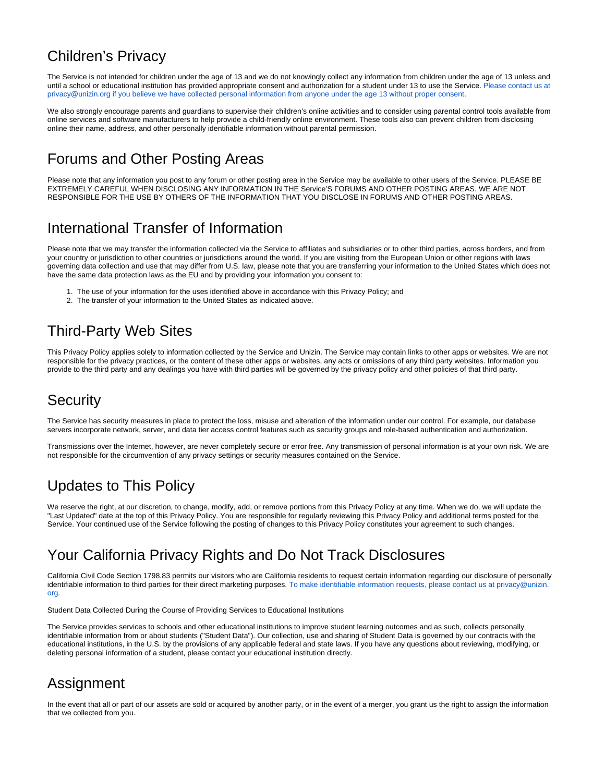#### Children's Privacy

The Service is not intended for children under the age of 13 and we do not knowingly collect any information from children under the age of 13 unless and until a school or educational institution has provided appropriate consent and authorization for a student under 13 to use the Service. [Please contact us at](mailto:privacy@unizin.org)  [privacy@unizin.org if you believe we have collected personal information from anyone under the age 13 without proper consent.](mailto:privacy@unizin.org)

We also strongly encourage parents and guardians to supervise their children's online activities and to consider using parental control tools available from online services and software manufacturers to help provide a child-friendly online environment. These tools also can prevent children from disclosing online their name, address, and other personally identifiable information without parental permission.

#### Forums and Other Posting Areas

Please note that any information you post to any forum or other posting area in the Service may be available to other users of the Service. PLEASE BE EXTREMELY CAREFUL WHEN DISCLOSING ANY INFORMATION IN THE Service'S FORUMS AND OTHER POSTING AREAS. WE ARE NOT RESPONSIBLE FOR THE USE BY OTHERS OF THE INFORMATION THAT YOU DISCLOSE IN FORUMS AND OTHER POSTING AREAS.

#### International Transfer of Information

Please note that we may transfer the information collected via the Service to affiliates and subsidiaries or to other third parties, across borders, and from your country or jurisdiction to other countries or jurisdictions around the world. If you are visiting from the European Union or other regions with laws governing data collection and use that may differ from U.S. law, please note that you are transferring your information to the United States which does not have the same data protection laws as the EU and by providing your information you consent to:

- 1. The use of your information for the uses identified above in accordance with this Privacy Policy; and
- 2. The transfer of your information to the United States as indicated above.

#### Third-Party Web Sites

This Privacy Policy applies solely to information collected by the Service and Unizin. The Service may contain links to other apps or websites. We are not responsible for the privacy practices, or the content of these other apps or websites, any acts or omissions of any third party websites. Information you provide to the third party and any dealings you have with third parties will be governed by the privacy policy and other policies of that third party.

#### Security

The Service has security measures in place to protect the loss, misuse and alteration of the information under our control. For example, our database servers incorporate network, server, and data tier access control features such as security groups and role-based authentication and authorization.

Transmissions over the Internet, however, are never completely secure or error free. Any transmission of personal information is at your own risk. We are not responsible for the circumvention of any privacy settings or security measures contained on the Service.

## Updates to This Policy

We reserve the right, at our discretion, to change, modify, add, or remove portions from this Privacy Policy at any time. When we do, we will update the "Last Updated" date at the top of this Privacy Policy. You are responsible for regularly reviewing this Privacy Policy and additional terms posted for the Service. Your continued use of the Service following the posting of changes to this Privacy Policy constitutes your agreement to such changes.

## Your California Privacy Rights and Do Not Track Disclosures

California Civil Code Section 1798.83 permits our visitors who are California residents to request certain information regarding our disclosure of personally identifiable information to third parties for their direct marketing purposes. [To make identifiable information requests, please contact us at privacy@unizin.](mailto:privacy@unizin.org) [org.](mailto:privacy@unizin.org)

Student Data Collected During the Course of Providing Services to Educational Institutions

The Service provides services to schools and other educational institutions to improve student learning outcomes and as such, collects personally identifiable information from or about students ("Student Data"). Our collection, use and sharing of Student Data is governed by our contracts with the educational institutions, in the U.S. by the provisions of any applicable federal and state laws. If you have any questions about reviewing, modifying, or deleting personal information of a student, please contact your educational institution directly.

## Assignment

In the event that all or part of our assets are sold or acquired by another party, or in the event of a merger, you grant us the right to assign the information that we collected from you.